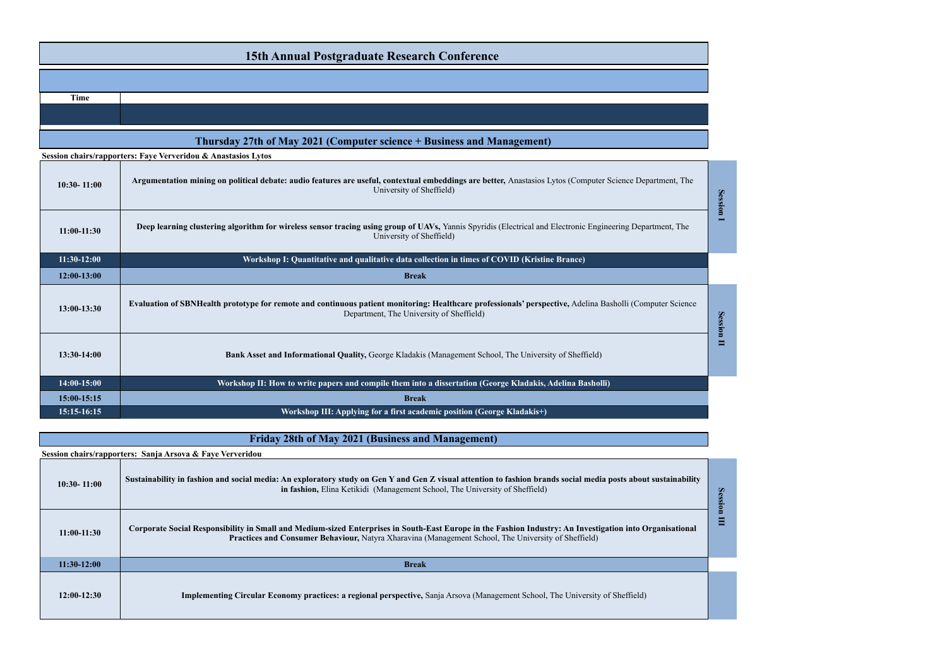| <b>15th Annual Postgraduate Research Conference</b>                    |                                                                                                                                                                                                       |  |
|------------------------------------------------------------------------|-------------------------------------------------------------------------------------------------------------------------------------------------------------------------------------------------------|--|
|                                                                        |                                                                                                                                                                                                       |  |
| <b>Time</b>                                                            |                                                                                                                                                                                                       |  |
|                                                                        |                                                                                                                                                                                                       |  |
| Thursday 27th of May 2021 (Computer science + Business and Management) |                                                                                                                                                                                                       |  |
|                                                                        | Session chairs/rapporters: Faye Ververidou & Anastasios Lytos                                                                                                                                         |  |
| $10:30 - 11:00$                                                        | Argumentation mining on political debate: audio features are useful, contextual embeddings are better, Anastasios Lytos (Computer Science Department, The<br>University of Sheffield)                 |  |
| $11:00-11:30$                                                          | Deep learning clustering algorithm for wireless sensor tracing using group of UAVs, Yannis Spyridis (Electrical and Electronic Engineering Department, The<br>University of Sheffield)                |  |
| $11:30-12:00$                                                          | Workshop I: Quantitative and qualitative data collection in times of COVID (Kristine Brance)                                                                                                          |  |
| 12:00-13:00                                                            | <b>Break</b>                                                                                                                                                                                          |  |
| 13:00-13:30                                                            | Evaluation of SBNHealth prototype for remote and continuous patient monitoring: Healthcare professionals' perspective, Adelina Basholli (Computer Science<br>Department, The University of Sheffield) |  |
| 13:30-14:00                                                            | Bank Asset and Informational Quality, George Kladakis (Management School, The University of Sheffield)                                                                                                |  |
| 14:00-15:00                                                            | Workshop II: How to write papers and compile them into a dissertation (George Kladakis, Adelina Basholli)                                                                                             |  |
| 15:00-15:15                                                            | <b>Break</b>                                                                                                                                                                                          |  |
| 15:15-16:15                                                            | Workshop III: Applying for a first academic position (George Kladakis+)                                                                                                                               |  |

| <b>Friday 28th of May 2021 (Business and Management)</b>  |                                                                                                                                                                                                                                                                 |  |  |
|-----------------------------------------------------------|-----------------------------------------------------------------------------------------------------------------------------------------------------------------------------------------------------------------------------------------------------------------|--|--|
| Session chairs/rapporters: Sanja Arsova & Faye Ververidou |                                                                                                                                                                                                                                                                 |  |  |
| $10:30 - 11:00$                                           | Sustainability in fashion and social media: An exploratory study on Gen Y and Gen Z visual attention to fashion brands social media posts about sustainability<br>in fashion, Elina Ketikidi (Management School, The University of Sheffield)                   |  |  |
| $11:00-11:30$                                             | Corporate Social Responsibility in Small and Medium-sized Enterprises in South-East Europe in the Fashion Industry: An Investigation into Organisational<br>Practices and Consumer Behaviour, Natyra Xharavina (Management School, The University of Sheffield) |  |  |
| $11:30-12:00$                                             | <b>Break</b>                                                                                                                                                                                                                                                    |  |  |
| $12:00-12:30$                                             | <b>Implementing Circular Economy practices: a regional perspective, Sanja Arsova (Management School, The University of Sheffield)</b>                                                                                                                           |  |  |

Session III

Session II

Session I